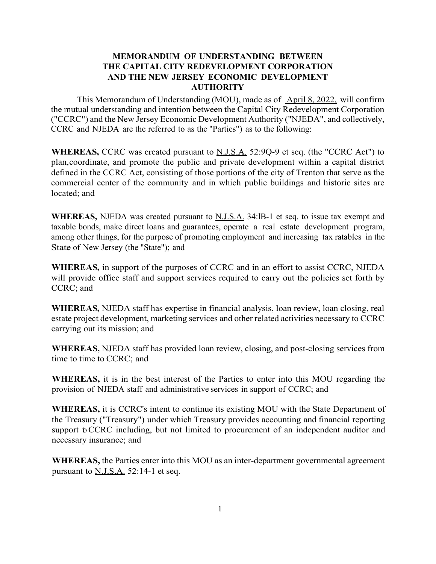## **MEMORANDUM OF UNDERSTANDING BETWEEN THE CAPITAL CITY REDEVELOPMENT CORPORATION AND THE NEW JERSEY ECONOMIC DEVELOPMENT AUTHORITY**

This Memorandum of Understanding (MOU), made as of April 8, 2022, will confirm the mutual understanding and intention between the Capital City Redevelopment Corporation ("CCRC") and the New Jersey Economic Development Authority ("NJEDA", and collectively, CCRC and NJEDA are the referred to as the "Parties") as to the following:

**WHEREAS,** CCRC was created pursuant to N.J.S.A. 52:9Q-9 et seq. (the "CCRC Act") to plan,coordinate, and promote the public and private development within a capital district defined in the CCRC Act, consisting of those portions of the city of Trenton that serve as the commercial center of the community and in which public buildings and historic sites are located; and

WHEREAS, NJEDA was created pursuant to **N.J.S.A.** 34:IB-1 et seq. to issue tax exempt and taxable bonds, make direct loans and guarantees, operate a real estate development program, among other things, for the purpose of promoting employment and increasing tax ratables in the State of New Jersey (the "State"); and

**WHEREAS,** in support of the purposes of CCRC and in an effort to assist CCRC, NJEDA will provide office staff and support services required to carry out the policies set forth by CCRC; and

**WHEREAS,** NJEDA staff has expertise in financial analysis, loan review, loan closing, real estate project development, marketing services and other related activities necessary to CCRC carrying out its mission; and

**WHEREAS,** NJEDA staff has provided loan review, closing, and post-closing services from time to time to CCRC; and

**WHEREAS,** it is in the best interest of the Parties to enter into this MOU regarding the provision of NJEDA staff and administrative services in support of CCRC; and

**WHEREAS,** it is CCRC's intent to continue its existing MOU with the State Department of the Treasury ("Treasury") under which Treasury provides accounting and financial reporting support to CCRC including, but not limited to procurement of an independent auditor and necessary insurance; and

**WHEREAS,** the Parties enter into this MOU as an inter-department governmental agreement pursuant to N.J.S.A. 52:14-1 et seq.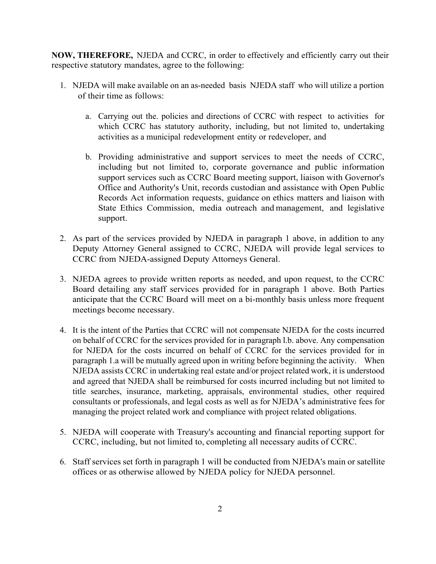**NOW, THEREFORE,** NJEDA and CCRC, in order to effectively and efficiently carry out their respective statutory mandates, agree to the following:

- 1. NJEDA will make available on an as-needed basis NJEDA staff who will utilize a portion of their time as follows:
	- a. Carrying out the. policies and directions of CCRC with respect to activities for which CCRC has statutory authority, including, but not limited to, undertaking activities as a municipal redevelopment entity or redeveloper, and
	- b. Providing administrative and support services to meet the needs of CCRC, including but not limited to, corporate governance and public information support services such as CCRC Board meeting support, liaison with Governor's Office and Authority's Unit, records custodian and assistance with Open Public Records Act information requests, guidance on ethics matters and liaison with State Ethics Commission, media outreach and management, and legislative support.
- 2. As part of the services provided by NJEDA in paragraph 1 above, in addition to any Deputy Attorney General assigned to CCRC, NJEDA will provide legal services to CCRC from NJEDA-assigned Deputy Attorneys General.
- 3. NJEDA agrees to provide written reports as needed, and upon request, to the CCRC Board detailing any staff services provided for in paragraph 1 above. Both Parties anticipate that the CCRC Board will meet on a bi-monthly basis unless more frequent meetings become necessary.
- 4. It is the intent of the Parties that CCRC will not compensate NJEDA for the costs incurred on behalf of CCRC for the services provided for in paragraph l.b. above. Any compensation for NJEDA for the costs incurred on behalf of CCRC for the services provided for in paragraph 1.a will be mutually agreed upon in writing before beginning the activity. When NJEDA assists CCRC in undertaking real estate and/or project related work, it is understood and agreed that NJEDA shall be reimbursed for costs incurred including but not limited to title searches, insurance, marketing, appraisals, environmental studies, other required consultants or professionals, and legal costs as well as for NJEDA's administrative fees for managing the project related work and compliance with project related obligations.
- 5. NJEDA will cooperate with Treasury's accounting and financial reporting support for CCRC, including, but not limited to, completing all necessary audits of CCRC.
- 6. Staff services set forth in paragraph 1 will be conducted from NJEDA's main or satellite offices or as otherwise allowed by NJEDA policy for NJEDA personnel.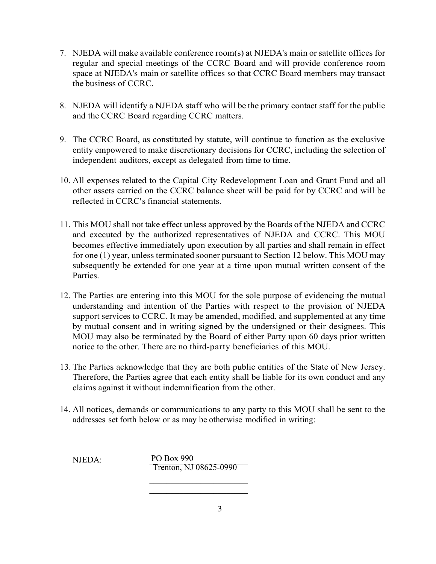- 7. NJEDA will make available conference room(s) at NJEDA's main or satellite offices for regular and special meetings of the CCRC Board and will provide conference room space at NJEDA's main or satellite offices so that CCRC Board members may transact the business of CCRC.
- 8. NJEDA will identify a NJEDA staff who will be the primary contact staff for the public and the CCRC Board regarding CCRC matters.
- 9. The CCRC Board, as constituted by statute, will continue to function as the exclusive entity empowered to make discretionary decisions for CCRC, including the selection of independent auditors, except as delegated from time to time.
- 10. All expenses related to the Capital City Redevelopment Loan and Grant Fund and all other assets carried on the CCRC balance sheet will be paid for by CCRC and will be reflected in CCRC' s financial statements.
- 11. This MOU shall not take effect unless approved by the Boards of the NJEDA and CCRC and executed by the authorized representatives of NJEDA and CCRC. This MOU becomes effective immediately upon execution by all parties and shall remain in effect for one (1) year, unless terminated sooner pursuant to Section 12 below. This MOU may subsequently be extended for one year at a time upon mutual written consent of the Parties.
- 12. The Parties are entering into this MOU for the sole purpose of evidencing the mutual understanding and intention of the Parties with respect to the provision of NJEDA support services to CCRC. It may be amended, modified, and supplemented at any time by mutual consent and in writing signed by the undersigned or their designees. This MOU may also be terminated by the Board of either Party upon 60 days prior written notice to the other. There are no third-party beneficiaries of this MOU.
- 13. The Parties acknowledge that they are both public entities of the State of New Jersey. Therefore, the Parties agree that each entity shall be liable for its own conduct and any claims against it without indemnification from the other.
- 14. All notices, demands or communications to any party to this MOU shall be sent to the addresses set forth below or as may be otherwise modified in writing:

NJEDA: PO Box 990 \_\_\_\_\_\_\_\_\_\_\_\_\_\_\_\_\_\_\_\_\_\_\_ Trenton, NJ 08625-0990 $\overline{\phantom{a}}$ 

 $\overline{\phantom{a}}$